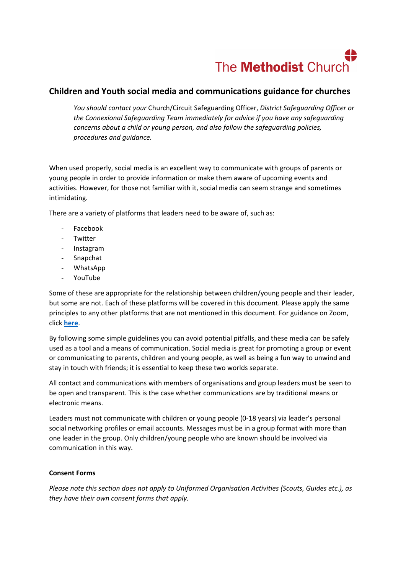# The **Methodist** Church

# **Children and Youth social media and communications guidance for churches**

*You should contact your* Church/Circuit Safeguarding Officer, *District Safeguarding Officer or the Connexional Safeguarding Team immediately for advice if you have any safeguarding concerns about a child or young person, and also follow the safeguarding policies, procedures and guidance.*

When used properly, social media is an excellent way to communicate with groups of parents or young people in order to provide information or make them aware of upcoming events and activities. However, for those not familiar with it, social media can seem strange and sometimes intimidating.

There are a variety of platforms that leaders need to be aware of, such as:

- Facebook
- Twitter
- Instagram
- **Snapchat**
- WhatsApp
- YouTube

Some of these are appropriate for the relationship between children/young people and their leader, but some are not. Each of these platforms will be covered in this document. Please apply the same principles to any other platforms that are not mentioned in this document. For guidance on Zoom, click **[here](https://www.methodist.org.uk/our-work/children-youth-family-ministry/being-a-community-when-you-cant-meet/creating-safe-virtual-communities-with-children-and-young-people/zoom-the-virtual-meeting-platform/)**.

By following some simple guidelines you can avoid potential pitfalls, and these media can be safely used as a tool and a means of communication. Social media is great for promoting a group or event or communicating to parents, children and young people, as well as being a fun way to unwind and stay in touch with friends; it is essential to keep these two worlds separate.

All contact and communications with members of organisations and group leaders must be seen to be open and transparent. This is the case whether communications are by traditional means or electronic means.

Leaders must not communicate with children or young people (0-18 years) via leader's personal social networking profiles or email accounts. Messages must be in a group format with more than one leader in the group. Only children/young people who are known should be involved via communication in this way.

#### **Consent Forms**

*Please note this section does not apply to Uniformed Organisation Activities (Scouts, Guides etc.), as they have their own consent forms that apply.*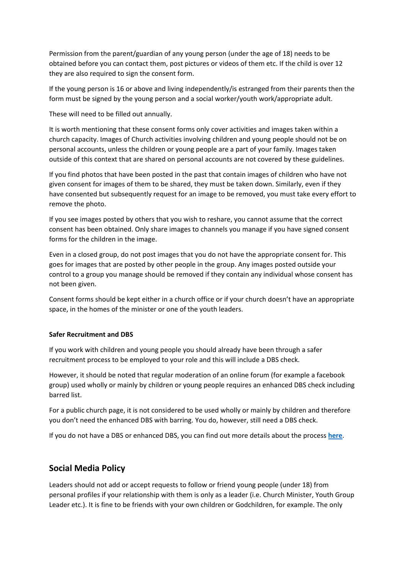Permission from the parent/guardian of any young person (under the age of 18) needs to be obtained before you can contact them, post pictures or videos of them etc. If the child is over 12 they are also required to sign the consent form.

If the young person is 16 or above and living independently/is estranged from their parents then the form must be signed by the young person and a social worker/youth work/appropriate adult.

These will need to be filled out annually.

It is worth mentioning that these consent forms only cover activities and images taken within a church capacity. Images of Church activities involving children and young people should not be on personal accounts, unless the children or young people are a part of your family. Images taken outside of this context that are shared on personal accounts are not covered by these guidelines.

If you find photos that have been posted in the past that contain images of children who have not given consent for images of them to be shared, they must be taken down. Similarly, even if they have consented but subsequently request for an image to be removed, you must take every effort to remove the photo.

If you see images posted by others that you wish to reshare, you cannot assume that the correct consent has been obtained. Only share images to channels you manage if you have signed consent forms for the children in the image.

Even in a closed group, do not post images that you do not have the appropriate consent for. This goes for images that are posted by other people in the group. Any images posted outside your control to a group you manage should be removed if they contain any individual whose consent has not been given.

Consent forms should be kept either in a church office or if your church doesn't have an appropriate space, in the homes of the minister or one of the youth leaders.

#### **Safer Recruitment and DBS**

If you work with children and young people you should already have been through a safer recruitment process to be employed to your role and this will include a DBS check.

However, it should be noted that regular moderation of an online forum (for example a facebook group) used wholly or mainly by children or young people requires an enhanced DBS check including barred list.

For a public church page, it is not considered to be used wholly or mainly by children and therefore you don't need the enhanced DBS with barring. You do, however, still need a DBS check.

If you do not have a DBS or enhanced DBS, you can find out more details about the process **[here](https://www.methodist.org.uk/safeguarding/recruitment-dbspvg-forms-etc/)**.

## **Social Media Policy**

Leaders should not add or accept requests to follow or friend young people (under 18) from personal profiles if your relationship with them is only as a leader (i.e. Church Minister, Youth Group Leader etc.). It is fine to be friends with your own children or Godchildren, for example. The only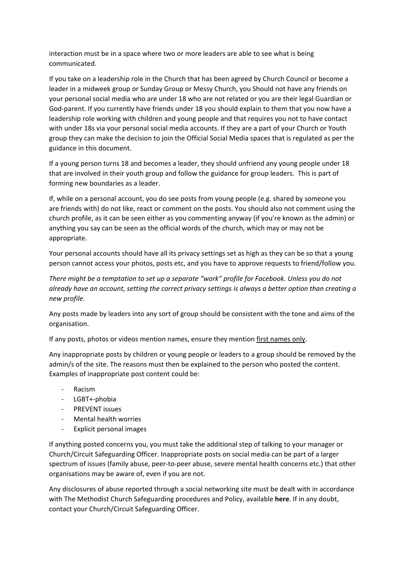interaction must be in a space where two or more leaders are able to see what is being communicated.

If you take on a leadership role in the Church that has been agreed by Church Council or become a leader in a midweek group or Sunday Group or Messy Church, you Should not have any friends on your personal social media who are under 18 who are not related or you are their legal Guardian or God-parent. If you currently have friends under 18 you should explain to them that you now have a leadership role working with children and young people and that requires you not to have contact with under 18s via your personal social media accounts. If they are a part of your Church or Youth group they can make the decision to join the Official Social Media spaces that is regulated as per the guidance in this document.

If a young person turns 18 and becomes a leader, they should unfriend any young people under 18 that are involved in their youth group and follow the guidance for group leaders. This is part of forming new boundaries as a leader.

If, while on a personal account, you do see posts from young people (e.g. shared by someone you are friends with) do not like, react or comment on the posts. You should also not comment using the church profile, as it can be seen either as you commenting anyway (if you're known as the admin) or anything you say can be seen as the official words of the church, which may or may not be appropriate.

Your personal accounts should have all its privacy settings set as high as they can be so that a young person cannot access your photos, posts etc, and you have to approve requests to friend/follow you.

*There might be a temptation to set up a separate "work" profile for Facebook. Unless you do not already have an account, setting the correct privacy settings is always a better option than creating a new profile.*

Any posts made by leaders into any sort of group should be consistent with the tone and aims of the organisation.

If any posts, photos or videos mention names, ensure they mention first names only.

Any inappropriate posts by children or young people or leaders to a group should be removed by the admin/s of the site. The reasons must then be explained to the person who posted the content. Examples of inappropriate post content could be:

- **Racism**
- LGBT+-phobia
- PREVENT issues
- Mental health worries
- Explicit personal images

If anything posted concerns you, you must take the additional step of talking to your manager or Church/Circuit Safeguarding Officer. Inappropriate posts on social media can be part of a larger spectrum of issues (family abuse, peer-to-peer abuse, severe mental health concerns etc.) that other organisations may be aware of, even if you are not.

Any disclosures of abuse reported through a social networking site must be dealt with in accordance with The Methodist Church Safeguarding procedures and Policy, available **here**. If in any doubt, contact your Church/Circuit Safeguarding Officer.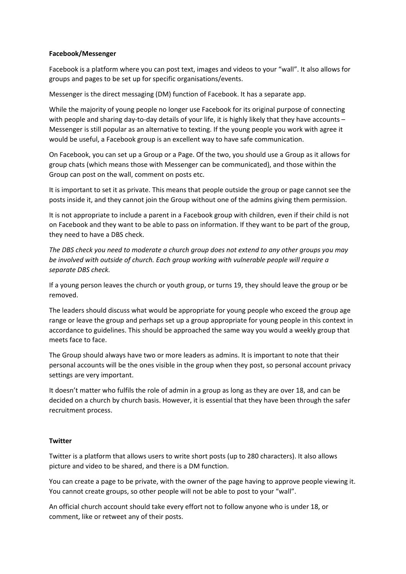#### **Facebook/Messenger**

Facebook is a platform where you can post text, images and videos to your "wall". It also allows for groups and pages to be set up for specific organisations/events.

Messenger is the direct messaging (DM) function of Facebook. It has a separate app.

While the majority of young people no longer use Facebook for its original purpose of connecting with people and sharing day-to-day details of your life, it is highly likely that they have accounts -Messenger is still popular as an alternative to texting. If the young people you work with agree it would be useful, a Facebook group is an excellent way to have safe communication.

On Facebook, you can set up a Group or a Page. Of the two, you should use a Group as it allows for group chats (which means those with Messenger can be communicated), and those within the Group can post on the wall, comment on posts etc.

It is important to set it as private. This means that people outside the group or page cannot see the posts inside it, and they cannot join the Group without one of the admins giving them permission.

It is not appropriate to include a parent in a Facebook group with children, even if their child is not on Facebook and they want to be able to pass on information. If they want to be part of the group, they need to have a DBS check.

*The DBS check you need to moderate a church group does not extend to any other groups you may be involved with outside of church. Each group working with vulnerable people will require a separate DBS check.*

If a young person leaves the church or youth group, or turns 19, they should leave the group or be removed.

The leaders should discuss what would be appropriate for young people who exceed the group age range or leave the group and perhaps set up a group appropriate for young people in this context in accordance to guidelines. This should be approached the same way you would a weekly group that meets face to face.

The Group should always have two or more leaders as admins. It is important to note that their personal accounts will be the ones visible in the group when they post, so personal account privacy settings are very important.

It doesn't matter who fulfils the role of admin in a group as long as they are over 18, and can be decided on a church by church basis. However, it is essential that they have been through the safer recruitment process.

#### **Twitter**

Twitter is a platform that allows users to write short posts (up to 280 characters). It also allows picture and video to be shared, and there is a DM function.

You can create a page to be private, with the owner of the page having to approve people viewing it. You cannot create groups, so other people will not be able to post to your "wall".

An official church account should take every effort not to follow anyone who is under 18, or comment, like or retweet any of their posts.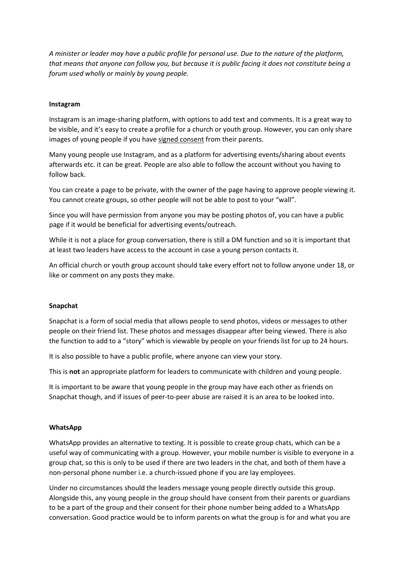*A minister or leader may have a public profile for personal use. Due to the nature of the platform, that means that anyone can follow you, but because it is public facing it does not constitute being a forum used wholly or mainly by young people.* 

#### **Instagram**

Instagram is an image-sharing platform, with options to add text and comments. It is a great way to be visible, and it's easy to create a profile for a church or youth group. However, you can only share images of young people if you have signed consent from their parents.

Many young people use Instagram, and as a platform for advertising events/sharing about events afterwards etc. it can be great. People are also able to follow the account without you having to follow back.

You can create a page to be private, with the owner of the page having to approve people viewing it. You cannot create groups, so other people will not be able to post to your "wall".

Since you will have permission from anyone you may be posting photos of, you can have a public page if it would be beneficial for advertising events/outreach.

While it is not a place for group conversation, there is still a DM function and so it is important that at least two leaders have access to the account in case a young person contacts it.

An official church or youth group account should take every effort not to follow anyone under 18, or like or comment on any posts they make.

#### **Snapchat**

Snapchat is a form of social media that allows people to send photos, videos or messages to other people on their friend list. These photos and messages disappear after being viewed. There is also the function to add to a "story" which is viewable by people on your friends list for up to 24 hours.

It is also possible to have a public profile, where anyone can view your story.

This is **not** an appropriate platform for leaders to communicate with children and young people.

It is important to be aware that young people in the group may have each other as friends on Snapchat though, and if issues of peer-to-peer abuse are raised it is an area to be looked into.

#### **WhatsApp**

WhatsApp provides an alternative to texting. It is possible to create group chats, which can be a useful way of communicating with a group. However, your mobile number is visible to everyone in a group chat, so this is only to be used if there are two leaders in the chat, and both of them have a non-personal phone number i.e. a church-issued phone if you are lay employees.

Under no circumstances should the leaders message young people directly outside this group. Alongside this, any young people in the group should have consent from their parents or guardians to be a part of the group and their consent for their phone number being added to a WhatsApp conversation. Good practice would be to inform parents on what the group is for and what you are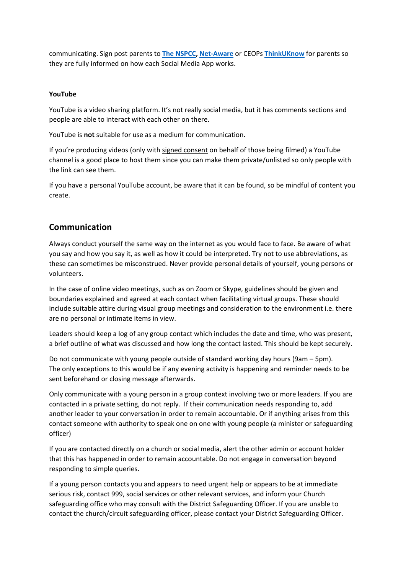communicating. Sign post parents to **[The NSPCC,](https://www.nspcc.org.uk/keeping-children-safe/online-safety/) [Net-Aware](https://www.net-aware.org.uk/)** or CEOPs **[ThinkUKnow](https://www.thinkuknow.co.uk/)** for parents so they are fully informed on how each Social Media App works.

## **YouTube**

YouTube is a video sharing platform. It's not really social media, but it has comments sections and people are able to interact with each other on there.

YouTube is **not** suitable for use as a medium for communication.

If you're producing videos (only with signed consent on behalf of those being filmed) a YouTube channel is a good place to host them since you can make them private/unlisted so only people with the link can see them.

If you have a personal YouTube account, be aware that it can be found, so be mindful of content you create.

# **Communication**

Always conduct yourself the same way on the internet as you would face to face. Be aware of what you say and how you say it, as well as how it could be interpreted. Try not to use abbreviations, as these can sometimes be misconstrued. Never provide personal details of yourself, young persons or volunteers.

In the case of online video meetings, such as on Zoom or Skype, guidelines should be given and boundaries explained and agreed at each contact when facilitating virtual groups. These should include suitable attire during visual group meetings and consideration to the environment i.e. there are no personal or intimate items in view.

Leaders should keep a log of any group contact which includes the date and time, who was present, a brief outline of what was discussed and how long the contact lasted. This should be kept securely.

Do not communicate with young people outside of standard working day hours (9am – 5pm). The only exceptions to this would be if any evening activity is happening and reminder needs to be sent beforehand or closing message afterwards.

Only communicate with a young person in a group context involving two or more leaders. If you are contacted in a private setting, do not reply. If their communication needs responding to, add another leader to your conversation in order to remain accountable. Or if anything arises from this contact someone with authority to speak one on one with young people (a minister or safeguarding officer)

If you are contacted directly on a church or social media, alert the other admin or account holder that this has happened in order to remain accountable. Do not engage in conversation beyond responding to simple queries.

If a young person contacts you and appears to need urgent help or appears to be at immediate serious risk, contact 999, social services or other relevant services, and inform your Church safeguarding office who may consult with the District Safeguarding Officer. If you are unable to contact the church/circuit safeguarding officer, please contact your District Safeguarding Officer.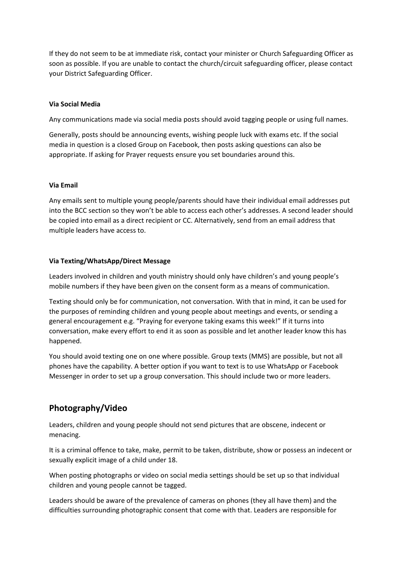If they do not seem to be at immediate risk, contact your minister or Church Safeguarding Officer as soon as possible. If you are unable to contact the church/circuit safeguarding officer, please contact your District Safeguarding Officer.

## **Via Social Media**

Any communications made via social media posts should avoid tagging people or using full names.

Generally, posts should be announcing events, wishing people luck with exams etc. If the social media in question is a closed Group on Facebook, then posts asking questions can also be appropriate. If asking for Prayer requests ensure you set boundaries around this.

#### **Via Email**

Any emails sent to multiple young people/parents should have their individual email addresses put into the BCC section so they won't be able to access each other's addresses. A second leader should be copied into email as a direct recipient or CC. Alternatively, send from an email address that multiple leaders have access to.

## **Via Texting/WhatsApp/Direct Message**

Leaders involved in children and youth ministry should only have children's and young people's mobile numbers if they have been given on the consent form as a means of communication.

Texting should only be for communication, not conversation. With that in mind, it can be used for the purposes of reminding children and young people about meetings and events, or sending a general encouragement e.g. "Praying for everyone taking exams this week!" If it turns into conversation, make every effort to end it as soon as possible and let another leader know this has happened.

You should avoid texting one on one where possible. Group texts (MMS) are possible, but not all phones have the capability. A better option if you want to text is to use WhatsApp or Facebook Messenger in order to set up a group conversation. This should include two or more leaders.

## **Photography/Video**

Leaders, children and young people should not send pictures that are obscene, indecent or menacing.

It is a criminal offence to take, make, permit to be taken, distribute, show or possess an indecent or sexually explicit image of a child under 18.

When posting photographs or video on social media settings should be set up so that individual children and young people cannot be tagged.

Leaders should be aware of the prevalence of cameras on phones (they all have them) and the difficulties surrounding photographic consent that come with that. Leaders are responsible for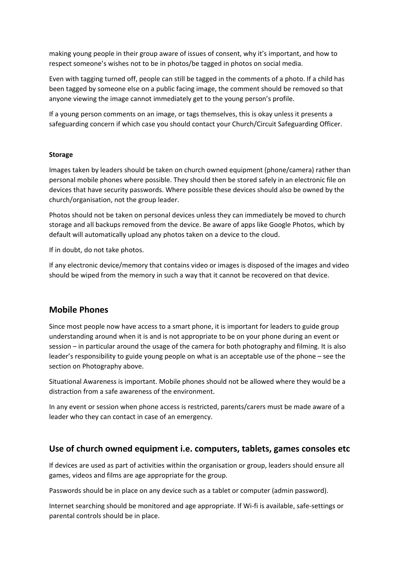making young people in their group aware of issues of consent, why it's important, and how to respect someone's wishes not to be in photos/be tagged in photos on social media.

Even with tagging turned off, people can still be tagged in the comments of a photo. If a child has been tagged by someone else on a public facing image, the comment should be removed so that anyone viewing the image cannot immediately get to the young person's profile.

If a young person comments on an image, or tags themselves, this is okay unless it presents a safeguarding concern if which case you should contact your Church/Circuit Safeguarding Officer.

#### **Storage**

Images taken by leaders should be taken on church owned equipment (phone/camera) rather than personal mobile phones where possible. They should then be stored safely in an electronic file on devices that have security passwords. Where possible these devices should also be owned by the church/organisation, not the group leader.

Photos should not be taken on personal devices unless they can immediately be moved to church storage and all backups removed from the device. Be aware of apps like Google Photos, which by default will automatically upload any photos taken on a device to the cloud.

If in doubt, do not take photos.

If any electronic device/memory that contains video or images is disposed of the images and video should be wiped from the memory in such a way that it cannot be recovered on that device.

## **Mobile Phones**

Since most people now have access to a smart phone, it is important for leaders to guide group understanding around when it is and is not appropriate to be on your phone during an event or session – in particular around the usage of the camera for both photography and filming. It is also leader's responsibility to guide young people on what is an acceptable use of the phone – see the section on Photography above.

Situational Awareness is important. Mobile phones should not be allowed where they would be a distraction from a safe awareness of the environment.

In any event or session when phone access is restricted, parents/carers must be made aware of a leader who they can contact in case of an emergency.

## **Use of church owned equipment i.e. computers, tablets, games consoles etc**

If devices are used as part of activities within the organisation or group, leaders should ensure all games, videos and films are age appropriate for the group.

Passwords should be in place on any device such as a tablet or computer (admin password).

Internet searching should be monitored and age appropriate. If Wi-fi is available, safe-settings or parental controls should be in place.